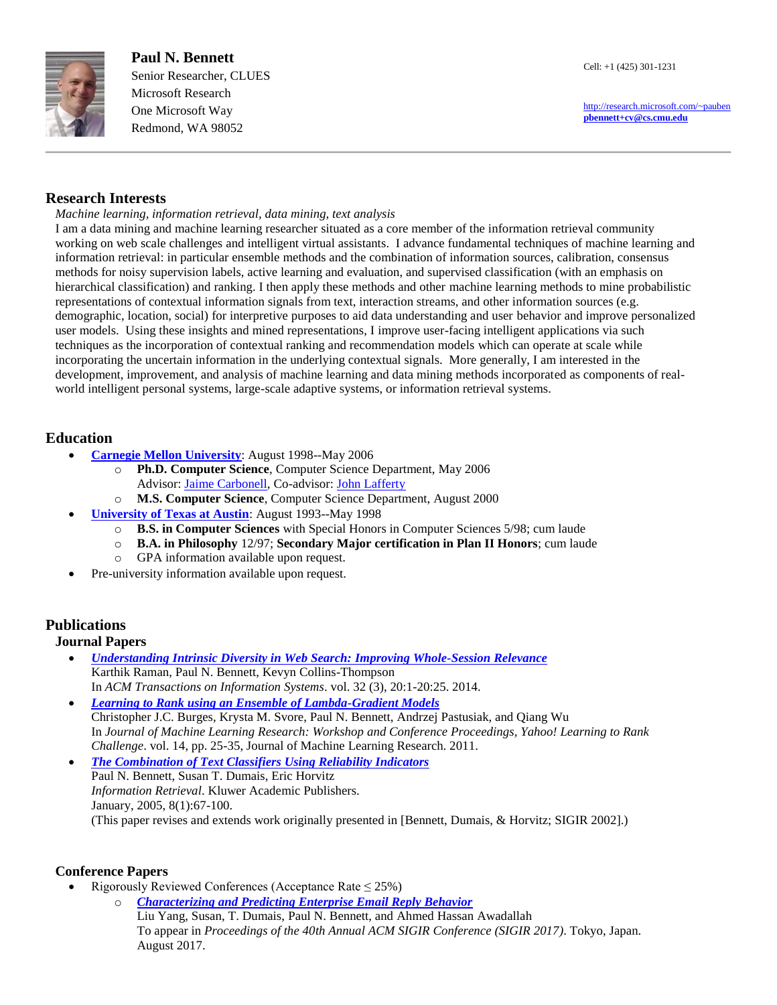

 **Paul N. Bennett** Senior Researcher, CLUES Microsoft Research One Microsoft Way Redmond, WA 98052

 <http://research.microsoft.com/~pauben> **[pbennett+cv@cs.cmu.edu](mailto:pbennett+cv@cs.cmu.edu)**

### **Research Interests**

#### *Machine learning, information retrieval, data mining, text analysis*

I am a data mining and machine learning researcher situated as a core member of the information retrieval community working on web scale challenges and intelligent virtual assistants. I advance fundamental techniques of machine learning and information retrieval: in particular ensemble methods and the combination of information sources, calibration, consensus methods for noisy supervision labels, active learning and evaluation, and supervised classification (with an emphasis on hierarchical classification) and ranking. I then apply these methods and other machine learning methods to mine probabilistic representations of contextual information signals from text, interaction streams, and other information sources (e.g. demographic, location, social) for interpretive purposes to aid data understanding and user behavior and improve personalized user models. Using these insights and mined representations, I improve user-facing intelligent applications via such techniques as the incorporation of contextual ranking and recommendation models which can operate at scale while incorporating the uncertain information in the underlying contextual signals. More generally, I am interested in the development, improvement, and analysis of machine learning and data mining methods incorporated as components of realworld intelligent personal systems, large-scale adaptive systems, or information retrieval systems.

#### **Education**

- **[Carnegie Mellon University](http://www.cmu.edu/)**: August 1998--May 2006
	- o **Ph.D. Computer Science**, Computer Science Department, May 2006 Advisor: [Jaime Carbonell,](http://www.cs.cmu.edu/~jgc) Co-advisor: [John Lafferty](http://www.stat.uchicago.edu/~lafferty/)
	- o **M.S. Computer Science**, Computer Science Department, August 2000
- **[University of Texas at Austin](http://www.utexas.edu/)**: August 1993--May 1998
	- o **B.S. in Computer Sciences** with Special Honors in Computer Sciences 5/98; cum laude
	- o **B.A. in Philosophy** 12/97; **Secondary Major certification in Plan II Honors**; cum laude
	- o GPA information available upon request.
- Pre-university information available upon request.

## **Publications**

#### **Journal Papers**

- *[Understanding Intrinsic Diversity in Web Search: Improving Whole-Session Relevance](http://www.cs.cmu.edu/~pbennett/papers/raman_etal_14a.pdf)* Karthik Raman, Paul N. Bennett, Kevyn Collins-Thompson In *ACM Transactions on Information Systems*. vol. 32 (3), 20:1-20:25. 2014.
- *[Learning to Rank using an Ensemble of Lambda-Gradient Models](http://www.cs.cmu.edu/~pbennett/papers/burgesLearningToRank-2011.pdf)*  Christopher J.C. Burges, Krysta M. Svore, Paul N. Bennett, Andrzej Pastusiak, and Qiang Wu In *Journal of Machine Learning Research: Workshop and Conference Proceedings, Yahoo! Learning to Rank Challenge*. vol. 14, pp. 25-35, Journal of Machine Learning Research. 2011.
- *[The Combination of Text Classifiers Using Reliability Indicators](http://dx.doi.org/10.1023/B:INRT.0000048491.59134.94)* Paul N. Bennett, Susan T. Dumais, Eric Horvitz *Information Retrieval*. Kluwer Academic Publishers. January, 2005, 8(1):67-100. (This paper revises and extends work originally presented in [Bennett, Dumais, & Horvitz; SIGIR 2002].)

#### **Conference Papers**

- Rigorously Reviewed Conferences (Acceptance Rate  $\leq$  25%)
	- o *[Characterizing and Predicting Enterprise Email Reply Behavior](http://www.cs.cmu.edu/~pbennett/papers/SIGIR17-EmailReply-yang-et-al.pdf)* Liu Yang, Susan, T. Dumais, Paul N. Bennett, and Ahmed Hassan Awadallah To appear in *Proceedings of the 40th Annual ACM SIGIR Conference (SIGIR 2017)*. Tokyo, Japan. August 2017.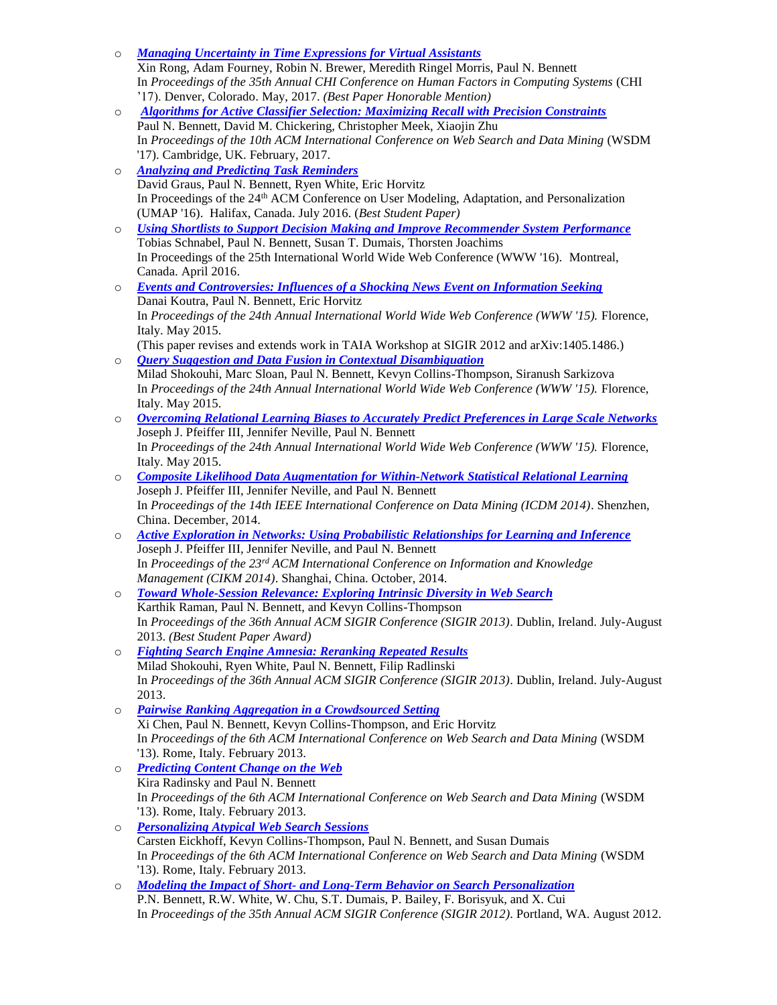- o *[Managing Uncertainty in Time Expressions for Virtual Assistants](http://www.cs.cmu.edu/~pbennett/papers/chi-2017-rong-et-al.pdf)* Xin Rong, Adam Fourney, Robin N. Brewer, Meredith Ringel Morris, Paul N. Bennett In *Proceedings of the 35th Annual CHI Conference on Human Factors in Computing Systems* (CHI '17). Denver, Colorado. May, 2017. *(Best Paper Honorable Mention)*
- o *[Algorithms for Active Classifier Selection: Maximizing Recall with Precision Constraints](http://www.cs.cmu.edu/~pbennett/papers/wsdm-2017-bennett-et-al.pdf)* Paul N. Bennett, David M. Chickering, Christopher Meek, Xiaojin Zhu In *Proceedings of the 10th ACM International Conference on Web Search and Data Mining* (WSDM '17). Cambridge, UK. February, 2017.
- o *[Analyzing and Predicting Task Reminders](http://www.cs.cmu.edu/~pbennett/papers/umap-2016-graus-et-al.pdf)* David Graus, Paul N. Bennett, Ryen White, Eric Horvitz In Proceedings of the 24th ACM Conference on User Modeling, Adaptation, and Personalization (UMAP '16). Halifax, Canada. July 2016. (*Best Student Paper)*
- o *[Using Shortlists to Support Decision Making and Improve Recommender System Performance](http://www.cs.cmu.edu/~pbennett/papers/www-2016-shortlists.pdf)* Tobias Schnabel, Paul N. Bennett, Susan T. Dumais, Thorsten Joachims In Proceedings of the 25th International World Wide Web Conference (WWW '16). Montreal, Canada. April 2016.
- o *[Events and Controversies: Influences of a Shocking News Event on Information Seeking](http://www.cs.cmu.edu/~pbennett/papers/www-2015-koutra-et-al-controversies.pdf)* Danai Koutra, Paul N. Bennett, Eric Horvitz In *Proceedings of the 24th Annual International World Wide Web Conference (WWW '15).* Florence, Italy. May 2015. (This paper revises and extends work in TAIA Workshop at SIGIR 2012 and arXiv:1405.1486.)
- o *[Query Suggestion and Data Fusion in Contextual Disambiguation](http://www.cs.cmu.edu/~pbennett/papers/www-2015-shokouhi-et-al-disambiguation.pdf)* Milad Shokouhi, Marc Sloan, Paul N. Bennett, Kevyn Collins-Thompson, Siranush Sarkizova In *Proceedings of the 24th Annual International World Wide Web Conference (WWW '15).* Florence, Italy. May 2015.
- o *[Overcoming Relational Learning Biases to Accurately Predict Preferences in Large Scale Networks](http://www.cs.cmu.edu/~pbennett/papers/www-2015-pfeiffer-et-al-relational.pdf)* Joseph J. Pfeiffer III, Jennifer Neville, Paul N. Bennett In *Proceedings of the 24th Annual International World Wide Web Conference (WWW '15).* Florence, Italy. May 2015.
- o *[Composite Likelihood Data Augmentation for Within-Network Statistical Relational Learning](http://www.cs.cmu.edu/~pbennett/papers/ICDM2014_DA_Final.pdf)* Joseph J. Pfeiffer III, Jennifer Neville, and Paul N. Bennett In *Proceedings of the 14th IEEE International Conference on Data Mining (ICDM 2014)*. Shenzhen, China. December, 2014.
- o *[Active Exploration in Networks: Using Probabilistic Relationships for Learning and Inference](http://www.cs.cmu.edu/~pbennett/papers/CIKM2014_ActiveExploration.pdf)* Joseph J. Pfeiffer III, Jennifer Neville, and Paul N. Bennett In *Proceedings of the 23rd ACM International Conference on Information and Knowledge Management (CIKM 2014)*. Shanghai, China. October, 2014.
- o *[Toward Whole-Session Relevance: Exploring Intrinsic Diversity in Web Search](http://www.cs.cmu.edu/~pbennett/papers/sigir-2013-raman-et-al-intrinsic.pdf)* Karthik Raman, Paul N. Bennett, and Kevyn Collins-Thompson In *Proceedings of the 36th Annual ACM SIGIR Conference (SIGIR 2013)*. Dublin, Ireland. July-August 2013. *(Best Student Paper Award)*
- o *[Fighting Search Engine Amnesia: Reranking Repeated Results](http://www.cs.cmu.edu/~pbennett/papers/sigir-2013-shokouhi-session-r3.pdf)* Milad Shokouhi, Ryen White, Paul N. Bennett, Filip Radlinski In *Proceedings of the 36th Annual ACM SIGIR Conference (SIGIR 2013)*. Dublin, Ireland. July-August 2013.
- o *[Pairwise Ranking Aggregation in a Crowdsourced Setting](http://www.cs.cmu.edu/~pbennett/papers/wsdm2013-preference-chen-et-al.pdf)* Xi Chen, Paul N. Bennett, Kevyn Collins-Thompson, and Eric Horvitz In *Proceedings of the 6th ACM International Conference on Web Search and Data Mining* (WSDM '13). Rome, Italy. February 2013.
- o *[Predicting Content Change on the Web](http://www.cs.cmu.edu/~pbennett/papers/wsdm2013-change-radinsky-bennett.pdf)* Kira Radinsky and Paul N. Bennett In *Proceedings of the 6th ACM International Conference on Web Search and Data Mining* (WSDM '13). Rome, Italy. February 2013.
- o *[Personalizing Atypical](http://www.cs.cmu.edu/~pbennett/papers/wsdm2013-atypical-eickhoff-et-al.pdf) Web Search Sessions* Carsten Eickhoff, Kevyn Collins-Thompson, Paul N. Bennett, and Susan Dumais In *Proceedings of the 6th ACM International Conference on Web Search and Data Mining* (WSDM '13). Rome, Italy. February 2013.
- o *Modeling the Impact of Short- [and Long-Term Behavior on Search Personalization](http://www.cs.cmu.edu/~pbennett/papers/bennett-et-al-sigir-2012.pdf)* P.N. Bennett, R.W. White, W. Chu, S.T. Dumais, P. Bailey, F. Borisyuk, and X. Cui In *Proceedings of the 35th Annual ACM SIGIR Conference (SIGIR 2012)*. Portland, WA. August 2012.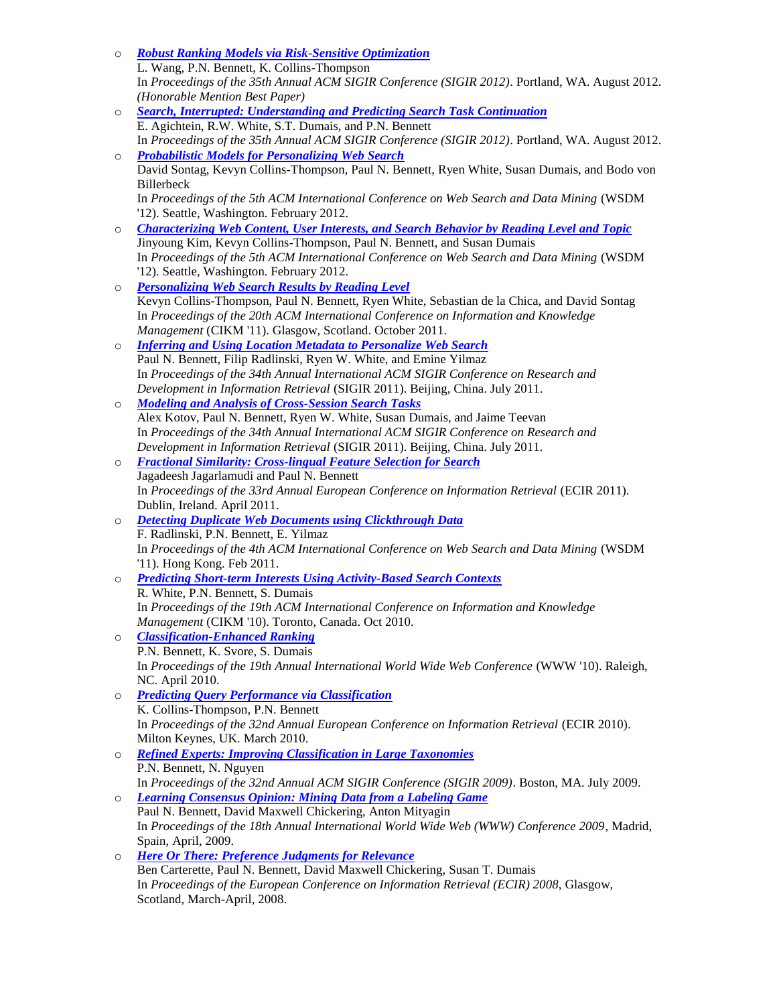- o *[Robust Ranking Models via Risk-Sensitive Optimization](http://www.cs.cmu.edu/~pbennett/papers/wang-et-al-sigir-2012.pdf)* L. Wang, P.N. Bennett, K. Collins-Thompson In *Proceedings of the 35th Annual ACM SIGIR Conference (SIGIR 2012)*. Portland, WA. August 2012. *(Honorable Mention Best Paper)* o *[Search, Interrupted: Understanding and Predicting Search Task Continuation](http://www.cs.cmu.edu/~pbennett/papers/agichtein-et-al-sigir-2012.pdf)* E. Agichtein, R.W. White, S.T. Dumais, and P.N. Bennett In *Proceedings of the 35th Annual ACM SIGIR Conference (SIGIR 2012)*. Portland, WA. August 2012. o *[Probabilistic Models for Personalizing Web Search](http://www.cs.cmu.edu/~pbennett/papers/wsdm2012-ltpersonalization-sontag-et-al.pdf)* David Sontag, Kevyn Collins-Thompson, Paul N. Bennett, Ryen White, Susan Dumais, and Bodo von Billerbeck In *Proceedings of the 5th ACM International Conference on Web Search and Data Mining* (WSDM '12). Seattle, Washington. February 2012. o *[Characterizing Web Content, User Interests, and Search Behavior by Reading Level and Topic](http://www.cs.cmu.edu/~pbennett/papers/wsdm2012-rlt-kim-et-al.pdf)* Jinyoung Kim, Kevyn Collins-Thompson, Paul N. Bennett, and Susan Dumais In *Proceedings of the 5th ACM International Conference on Web Search and Data Mining* (WSDM '12). Seattle, Washington. February 2012. o *[Personalizing Web Search Results by Reading Level](http://www.cs.cmu.edu/~pbennett/papers/cikm2011-rlevel-finalcr.pdf)* Kevyn Collins-Thompson, Paul N. Bennett, Ryen White, Sebastian de la Chica, and David Sontag In *Proceedings of the 20th ACM International Conference on Information and Knowledge Management* (CIKM '11). Glasgow, Scotland. October 2011. o *[Inferring and Using Location Metadata to Personalize Web Search](http://www.cs.cmu.edu/~pbennett/papers/sigir-2011-location-bennett-et-al.pdf)* Paul N. Bennett, Filip Radlinski, Ryen W. White, and Emine Yilmaz In *Proceedings of the 34th Annual International ACM SIGIR Conference on Research and Development in Information Retrieval* (SIGIR 2011). Beijing, China. July 2011. o *[Modeling and Analysis of Cross-Session Search Tasks](http://www.cs.cmu.edu/~pbennett/papers/sigir-2011-crosssession-kotov-et-al.pdf)* Alex Kotov, Paul N. Bennett, Ryen W. White, Susan Dumais, and Jaime Teevan In *Proceedings of the 34th Annual International ACM SIGIR Conference on Research and Development in Information Retrieval* (SIGIR 2011). Beijing, China. July 2011. o *[Fractional Similarity: Cross-lingual Feature Selection for Search](http://www.cs.cmu.edu/~pbennett/papers/FractionalSimilarity-ECIR-2011-jagarlamudi-bennett.pdf)* Jagadeesh Jagarlamudi and Paul N. Bennett In *Proceedings of the 33rd Annual European Conference on Information Retrieval (ECIR 2011).* Dublin, Ireland. April 2011. o *[Detecting Duplicate Web Documents using Clickthrough Data](http://www.cs.cmu.edu/~pbennett/papers/WSDM2011-Radlinski-Bennett-Yilmaz.pdf)*  F. Radlinski, P.N. Bennett, E. Yilmaz In *Proceedings of the 4th ACM International Conference on Web Search and Data Mining* (WSDM '11). Hong Kong. Feb 2011. o *[Predicting Short-term Interests Using Activity-Based Search Contexts](http://www.cs.cmu.edu/~pbennett/papers/predict-short-term-white-bennett-dumais.pdf)* R. White, P.N. Bennett, S. Dumais In *Proceedings of the 19th ACM International Conference on Information and Knowledge Management* (CIKM '10). Toronto, Canada. Oct 2010. o *[Classification-Enhanced Ranking](http://www.cs.cmu.edu/~pbennett/papers/www-2010-class-ranking.pdf)* P.N. Bennett, K. Svore, S. Dumais In *Proceedings of the 19th Annual International World Wide Web Conference* (WWW '10). Raleigh, NC. April 2010. o *[Predicting Query Performance via Classification](http://www.cs.cmu.edu/~pbennett/papers/ecir-2010-qclass.pdf)* K. Collins-Thompson, P.N. Bennett In *Proceedings of the 32nd Annual European Conference on Information Retrieval* (ECIR 2010). Milton Keynes, UK. March 2010. o *[Refined Experts: Improving Classification in Large Taxonomies](http://www.cs.cmu.edu/~pbennett/papers/sigir-2009-refined-experts-bennett-nguyen.pdf)* P.N. Bennett, N. Nguyen In *Proceedings of the 32nd Annual ACM SIGIR Conference (SIGIR 2009)*. Boston, MA. July 2009. o *[Learning Consensus Opinion: Mining Data from a Labeling Game](http://www.cs.cmu.edu/~pbennett/papers/www-2009-learning-consensus.pdf)* Paul N. Bennett, David Maxwell Chickering, Anton Mityagin In *Proceedings of the 18th Annual International World Wide Web (WWW) Conference 2009*, Madrid, Spain, April, 2009.
	- o *[Here Or There: Preference Judgments for Relevance](http://www.cs.cmu.edu/~pbennett/papers/HereOrThere-ECIR-2008.pdf)* Ben Carterette, Paul N. Bennett, David Maxwell Chickering, Susan T. Dumais In *Proceedings of the European Conference on Information Retrieval (ECIR) 2008*, Glasgow, Scotland, March-April, 2008.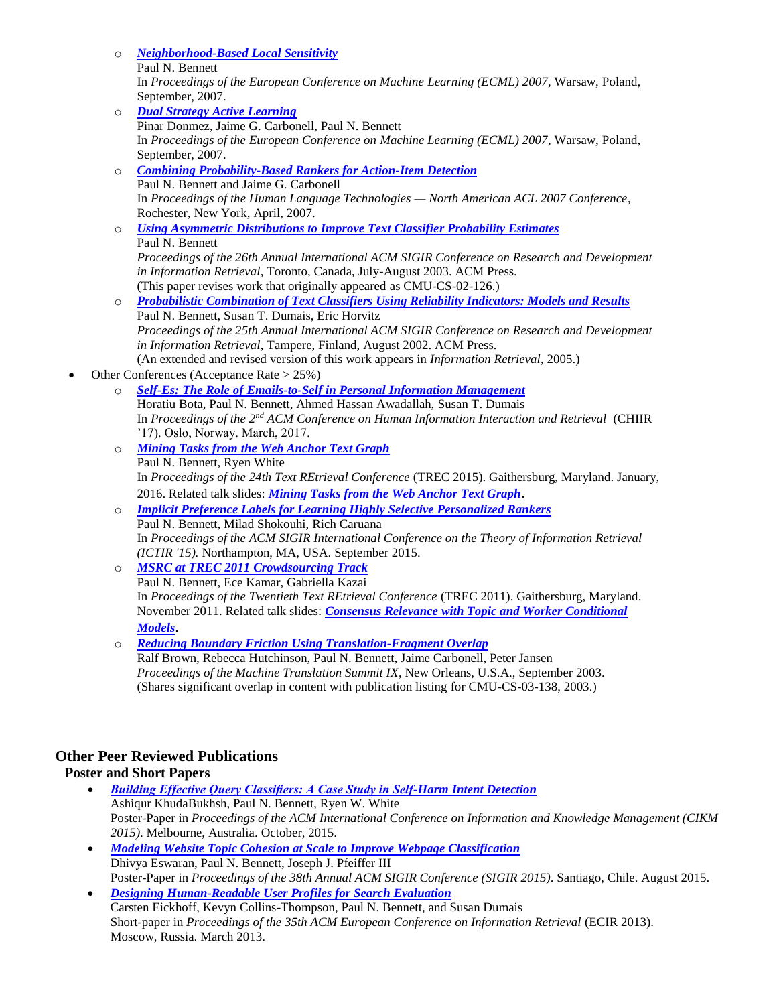- o *[Neighborhood-Based Local Sensitivity](http://www.cs.cmu.edu/~pbennett/papers/knn-locality-preprint.pdf)* Paul N. Bennett In *Proceedings of the European Conference on Machine Learning (ECML) 2007*, Warsaw, Poland, September, 2007.
- o *[Dual Strategy Active Learning](http://www.cs.cmu.edu/~pbennett/papers/ECML07Dual.pdf)* Pinar Donmez, Jaime G. Carbonell, Paul N. Bennett In *Proceedings of the European Conference on Machine Learning (ECML) 2007*, Warsaw, Poland, September, 2007. o *[Combining Probability-Based Rankers for Action-Item Detection](http://www.cs.cmu.edu/~pbennett/papers/action-item-combination.pdf)* Paul N. Bennett and Jaime G. Carbonell In *Proceedings of the Human Language Technologies — North American ACL 2007 Conference*, Rochester, New York, April, 2007. o *[Using Asymmetric Distributions to Improve Text Classifier Probability Estimates](http://www.cs.cmu.edu/~pbennett/papers/asymmetric-score-model.pdf)* Paul N. Bennett *Proceedings of the 26th Annual International ACM SIGIR Conference on Research and Development in Information Retrieval*, Toronto, Canada, July-August 2003. ACM Press. (This paper revises work that originally appeared as CMU-CS-02-126.) o *[Probabilistic Combination of Text Classifiers Using Reliability Indicators: Models and Results](http://www.cs.cmu.edu/~pbennett/papers/strive-sigir-2002-bennett-dumais-horvitz.pdf)* Paul N. Bennett, Susan T. Dumais, Eric Horvitz *Proceedings of the 25th Annual International ACM SIGIR Conference on Research and Development in Information Retrieval*, Tampere, Finland, August 2002. ACM Press. (An extended and revised version of this work appears in *Information Retrieval*, 2005.)
- Other Conferences (Acceptance Rate > 25%)
	- o *[Self-Es: The Role of Emails-to-Self in Personal Information Management](http://www.cs.cmu.edu/~pbennett/papers/chiir-2017-bota-et-al.pdf)* Horatiu Bota, Paul N. Bennett, Ahmed Hassan Awadallah, Susan T. Dumais In *Proceedings of the 2nd ACM Conference on Human Information Interaction and Retrieval* (CHIIR '17). Oslo, Norway. March, 2017.
	- o *[Mining Tasks from the Web Anchor Text Graph](http://www.cs.cmu.edu/~pbennett/papers/trec15AnchorTasks.pdf)* Paul N. Bennett, Ryen White In *Proceedings of the 24th Text REtrieval Conference* (TREC 2015). Gaithersburg, Maryland. January, 2016. Related talk slides: *[Mining Tasks from the Web Anchor Text Graph](http://www.cs.cmu.edu/~pbennett/talks/trec-2015-mining-tasks-public.pptx)*.
	- o *[Implicit Preference Labels for Learning Highly Selective Personalized Rankers](http://www.cs.cmu.edu/~pbennett/papers/ictir-2015-bennett-et-al.pdf)* Paul N. Bennett, Milad Shokouhi, Rich Caruana In *Proceedings of the ACM SIGIR International Conference on the Theory of Information Retrieval (ICTIR '15).* Northampton, MA, USA. September 2015.
	- o *[MSRC at TREC 2011 Crowdsourcing Track](http://www.cs.cmu.edu/~pbennett/papers/trec11msrcteam.pdf)* Paul N. Bennett, Ece Kamar, Gabriella Kazai In *Proceedings of the Twentieth Text REtrieval Conference* (TREC 2011). Gaithersburg, Maryland. November 2011. Related talk slides: *[Consensus Relevance with Topic and Worker Conditional](http://www.cs.cmu.edu/~pbennett/talks/probabilistic-consensus-public.pptx)  [Models](http://www.cs.cmu.edu/~pbennett/talks/probabilistic-consensus-public.pptx)*.
	- o *[Reducing Boundary Friction Using Translation-Fragment Overlap](http://www.amtaweb.org/summit/summit-papers.html)* Ralf Brown, Rebecca Hutchinson, Paul N. Bennett, Jaime Carbonell, Peter Jansen *Proceedings of the Machine Translation Summit IX*, New Orleans, U.S.A., September 2003. (Shares significant overlap in content with publication listing for CMU-CS-03-138, 2003.)

# **Other Peer Reviewed Publications**

### **Poster and Short Papers**

- *[Building Effective Query Classifiers: A Case Study in Self-Harm Intent Detection](http://www.cs.cmu.edu/~pbennett/papers/cikm-2015-KhudaBukhsh-et-al.pdf)* Ashiqur KhudaBukhsh, Paul N. Bennett, Ryen W. White Poster-Paper in *Proceedings of the ACM International Conference on Information and Knowledge Management (CIKM 2015)*. Melbourne, Australia. October, 2015.
- *[Modeling Website Topic Cohesion at Scale to Improve Webpage Classification](http://www.cs.cmu.edu/~pbennett/papers/sigir-2015-eswaran-et-al-topicCohesion.pdf)* Dhivya Eswaran, Paul N. Bennett, Joseph J. Pfeiffer III Poster-Paper in *Proceedings of the 38th Annual ACM SIGIR Conference (SIGIR 2015)*. Santiago, Chile. August 2015.
- *[Designing Human-Readable User Profiles for Search Evaluation](http://www.cs.cmu.edu/~pbennett/papers/ecir2013-profile-based-judgments.pdf)* Carsten Eickhoff, Kevyn Collins-Thompson, Paul N. Bennett, and Susan Dumais Short-paper in *Proceedings of the 35th ACM European Conference on Information Retrieval* (ECIR 2013). Moscow, Russia. March 2013.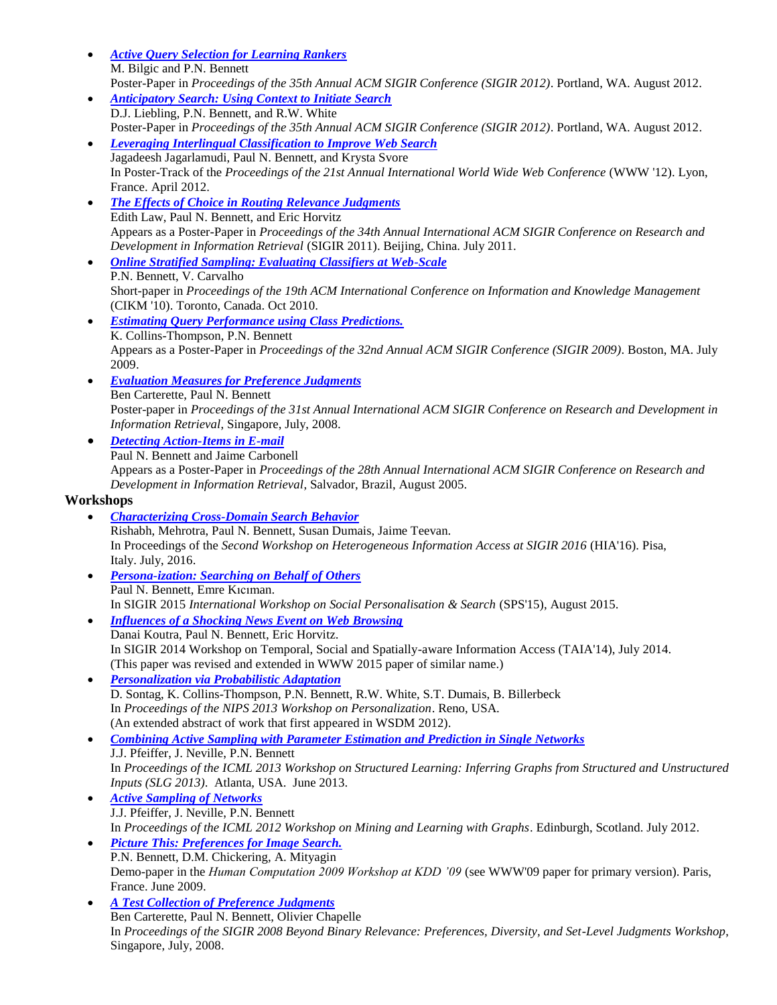- *[Active Query Selection for Learning Rankers](http://www.cs.cmu.edu/~pbennett/papers/bilgic-bennett-sigir-2012.pdf)* M. Bilgic and P.N. Bennett
- Poster-Paper in *Proceedings of the 35th Annual ACM SIGIR Conference (SIGIR 2012)*. Portland, WA. August 2012. *[Anticipatory Search: Using Context to Initiate Search](http://www.cs.cmu.edu/~pbennett/papers/liebling-et-al-sigir-2012.pdf)* D.J. Liebling, P.N. Bennett, and R.W. White
- Poster-Paper in *Proceedings of the 35th Annual ACM SIGIR Conference (SIGIR 2012)*. Portland, WA. August 2012. *[Leveraging Interlingual Classification to Improve Web Search](http://www.cs.cmu.edu/~pbennett/papers/www2012-jagarlamudi-et-al.pdf)*
- Jagadeesh Jagarlamudi, Paul N. Bennett, and Krysta Svore In Poster-Track of the *Proceedings of the 21st Annual International World Wide Web Conference* (WWW '12). Lyon, France. April 2012.
- *[The Effects of Choice in Routing Relevance Judgments](http://www.cs.cmu.edu/~pbennett/papers/sigir-2011-choice-law-et-al.pdf)* Edith Law, Paul N. Bennett, and Eric Horvitz Appears as a Poster-Paper in *Proceedings of the 34th Annual International ACM SIGIR Conference on Research and Development in Information Retrieval* (SIGIR 2011). Beijing, China. July 2011.
- *[Online Stratified Sampling: Evaluating Classifiers at Web-Scale](http://www.cs.cmu.edu/~pbennett/papers/bennett-carvalho-strat-cikm-2010.pdf)* P.N. Bennett, V. Carvalho Short-paper in *Proceedings of the 19th ACM International Conference on Information and Knowledge Management* (CIKM '10). Toronto, Canada. Oct 2010.
- *[Estimating Query Performance using Class Predictions.](http://www.cs.cmu.edu/~pbennett/papers/sigir-2009-poster-topic-clarity.pdf)* K. Collins-Thompson, P.N. Bennett Appears as a Poster-Paper in *Proceedings of the 32nd Annual ACM SIGIR Conference (SIGIR 2009)*. Boston, MA. July 2009.
- *[Evaluation Measures for Preference Judgments](http://www.cs.cmu.edu/~pbennett/papers/sigir-2008-poster-carterette-bennett.pdf)* Ben Carterette, Paul N. Bennett Poster-paper in *Proceedings of the 31st Annual International ACM SIGIR Conference on Research and Development in Information Retrieval*, Singapore, July, 2008.
- *[Detecting Action-Items in E-mail](http://www.cs.cmu.edu/~pbennett/papers/action-item-detection-poster.pdf)* Paul N. Bennett and Jaime Carbonell Appears as a Poster-Paper in *Proceedings of the 28th Annual International ACM SIGIR Conference on Research and Development in Information Retrieval*, Salvador, Brazil, August 2005.

## **Workshops**

- *[Characterizing Cross-Domain Search Behavior](http://www.cs.cmu.edu/~pbennett/papers/sigir-2016-hia-workshop-mehrotra-et-al.pdf)* Rishabh, Mehrotra, Paul N. Bennett, Susan Dumais, Jaime Teevan. In Proceedings of the *Second Workshop on Heterogeneous Information Access at SIGIR 2016* (HIA'16). Pisa, Italy. July, 2016.
- *[Persona-ization: Searching on Behalf of Others](http://www.cs.cmu.edu/~pbennett/papers/persona-ization-sps-2015-final.pdf)* Paul N. Bennett, Emre Kıcıman. In SIGIR 2015 *International Workshop on Social Personalisation & Search* (SPS'15), August 2015.
- *[Influences of a Shocking News Event on Web Browsing](http://www.cs.cmu.edu/~pbennett/papers/controversies_TAIA.pdf)* Danai Koutra, Paul N. Bennett, Eric Horvitz. In SIGIR 2014 Workshop on Temporal, Social and Spatially-aware Information Access (TAIA'14), July 2014. (This paper was revised and extended in WWW 2015 paper of similar name.)
- *[Personalization via Probabilistic Adaptation](http://www.cs.cmu.edu/~pbennett/papers/nips2013-sontag-et-al.pdf)* D. Sontag, K. Collins-Thompson, P.N. Bennett, R.W. White, S.T. Dumais, B. Billerbeck In *Proceedings of the NIPS 2013 Workshop on Personalization*. Reno, USA. (An extended abstract of work that first appeared in WSDM 2012).
- *[Combining Active Sampling with Parameter Estimation and Prediction in Single Networks](http://www.cs.cmu.edu/~pbennett/papers/icml-slg-2013-pfeiffer-et-al-sampling-bias.pdf)* J.J. Pfeiffer, J. Neville, P.N. Bennett In *Proceedings of the ICML 2013 Workshop on Structured Learning: Inferring Graphs from Structured and Unstructured Inputs (SLG 2013)*. Atlanta, USA. June 2013.
- *[Active Sampling of Networks](http://www.cs.cmu.edu/~pbennett/papers/pfeiffer-et-al-mlg-icml-2012.pdf)* J.J. Pfeiffer, J. Neville, P.N. Bennett In *Proceedings of the ICML 2012 Workshop on Mining and Learning with Graphs*. Edinburgh, Scotland. July 2012.
- *[Picture This: Preferences for Image Search.](http://www.cs.cmu.edu/~pbennett/papers/hcomp-2009-picture-this-demo.pdf)* P.N. Bennett, D.M. Chickering, A. Mityagin Demo-paper in the *Human Computation 2009 Workshop at KDD '09* (see WWW'09 paper for primary version). Paris, France. June 2009.
- *[A Test Collection of Preference Judgments](http://www.cs.cmu.edu/~pbennett/papers/sigir-2008-bbr-data-preference-overview.pdf)* Ben Carterette, Paul N. Bennett, Olivier Chapelle In *Proceedings of the SIGIR 2008 Beyond Binary Relevance: Preferences, Diversity, and Set-Level Judgments Workshop*, Singapore, July, 2008.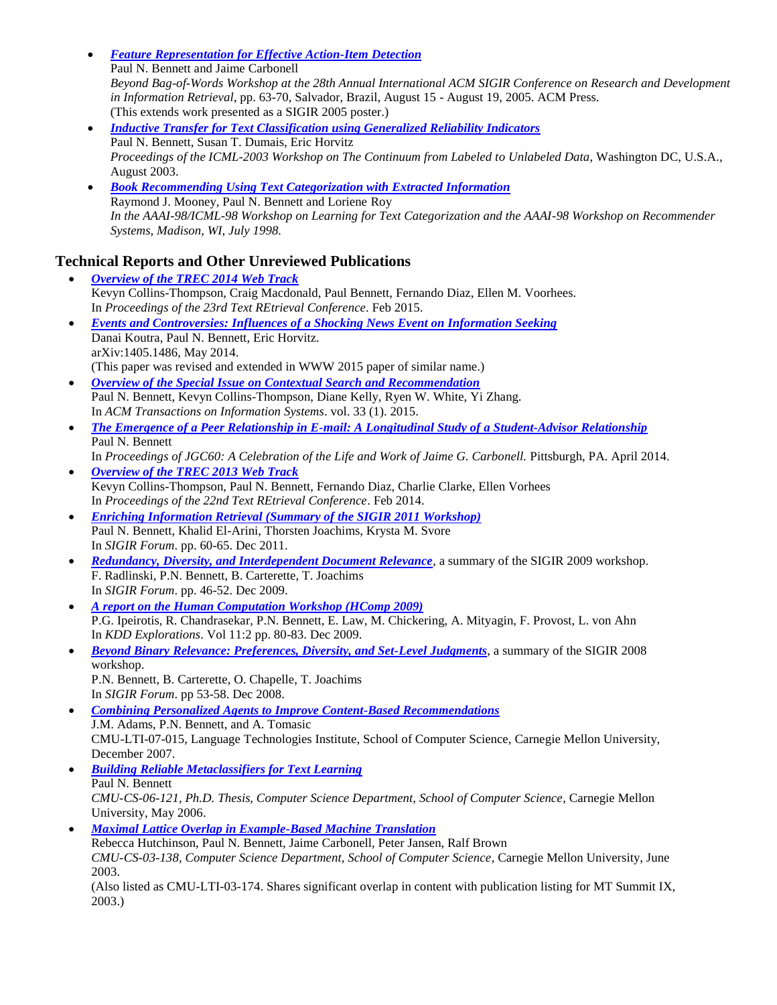- *[Feature Representation for Effective Action-Item Detection](http://www.cs.cmu.edu/~pbennett/papers/action-item-detection-ws.pdf)* Paul N. Bennett and Jaime Carbonell *Beyond Bag-of-Words Workshop at the 28th Annual International ACM SIGIR Conference on Research and Development in Information Retrieval*, pp. 63-70, Salvador, Brazil, August 15 - August 19, 2005. ACM Press. (This extends work presented as a SIGIR 2005 poster.)
- *[Inductive Transfer for Text Classification using Generalized Reliability Indicators](http://www.cs.cmu.edu/~pbennett/papers/riv-inductive-transfer.pdf)* Paul N. Bennett, Susan T. Dumais, Eric Horvitz *Proceedings of the ICML-2003 Workshop on The Continuum from Labeled to Unlabeled Data*, Washington DC, U.S.A., August 2003.
- *[Book Recommending Using Text Categorization with Extracted Information](http://www.cs.utexas.edu/users/ml/papers/libra-textcat-98.pdf)*  Raymond J. Mooney, Paul N. Bennett and Loriene Roy *In the AAAI-98/ICML-98 Workshop on Learning for Text Categorization and the AAAI-98 Workshop on Recommender Systems, Madison, WI, July 1998.*

# **Technical Reports and Other Unreviewed Publications**

- *[Overview of the TREC 2014 Web Track](http://www.cs.cmu.edu/~pbennett/papers/trec-web2014-overview-final-20150218.pdf)* Kevyn Collins-Thompson, Craig Macdonald, Paul Bennett, Fernando Diaz, Ellen M. Voorhees. In *Proceedings of the 23rd Text REtrieval Conference*. Feb 2015. *[Events and Controversies: Influences of a Shocking News Event on Information Seeking](http://arxiv.org/abs/1405.1486)* Danai Koutra, Paul N. Bennett, Eric Horvitz. arXiv:1405.1486, May 2014. (This paper was revised and extended in WWW 2015 paper of similar name.) *[Overview of the Special Issue on Contextual Search and Recommendation](http://www.cs.cmu.edu/~pbennett/papers/context_special_issue_intro.pdf)* Paul N. Bennett, Kevyn Collins-Thompson, Diane Kelly, Ryen W. White, Yi Zhang. In *ACM Transactions on Information Systems*. vol. 33 (1). 2015.
- *[The Emergence of a Peer Relationship in E-mail: A Longitudinal Study of a Student-Advisor Relationship](http://www.cs.cmu.edu/~pbennett/papers/jgc_festschrift.pdf)* Paul N. Bennett In *Proceedings of JGC60: A Celebration of the Life and Work of Jaime G. Carbonell. Pittsburgh, PA. April 2014.*
- *[Overview of the TREC 2013 Web Track](http://www.cs.cmu.edu/~pbennett/papers/trec-2013-proceedings-overview-final.pdf)* Kevyn Collins-Thompson, Paul N. Bennett, Fernando Diaz, Charlie Clarke, Ellen Vorhees In *Proceedings of the 22nd Text REtrieval Conference*. Feb 2014.
- *[Enriching Information Retrieval \(Summary of the SIGIR 2011 Workshop\)](http://www.sigir.org/forum/2011D/workshops/2011d_sigirforum_bennett.pdf)* Paul N. Bennett, Khalid El-Arini, Thorsten Joachims, Krysta M. Svore In *SIGIR Forum*. pp. 60-65. Dec 2011.
- *[Redundancy, Diversity, and Interdependent Document Relevance](http://www.sigir.org/forum/2009D/sigirwksp/2009d_sigirforum_radlinski.pdf)*, a summary of the SIGIR 2009 workshop. F. Radlinski, P.N. Bennett, B. Carterette, T. Joachims In *SIGIR Forum*. pp. 46-52. Dec 2009.
- *[A report on the Human Computation Workshop \(HComp 2009\)](http://www.cs.cmu.edu/~pbennett/papers/HComp2009ReportFinal.pdf)* P.G. Ipeirotis, R. Chandrasekar, P.N. Bennett, E. Law, M. Chickering, A. Mityagin, F. Provost, L. von Ahn In *KDD Explorations*. Vol 11:2 pp. 80-83. Dec 2009.
- *[Beyond Binary Relevance: Preferences, Diversity, and Set-Level Judgments](http://www.sigir.org/forum/2008D/sigirwksp/2008d_sigirforum_bennett.pdf)*, a summary of the SIGIR 2008 workshop. P.N. Bennett, B. Carterette, O. Chapelle, T. Joachims In *SIGIR Forum*. pp 53-58. Dec 2008.
- *[Combining Personalized Agents to Improve Content-Based Recommendations](http://www.cs.cmu.edu/~pbennett/papers/adams-bennett-tomasic.pdf)* J.M. Adams, P.N. Bennett, and A. Tomasic CMU-LTI-07-015, Language Technologies Institute, School of Computer Science, Carnegie Mellon University, December 2007.
- *[Building Reliable Metaclassifiers for Text Learning](http://reports-archive.adm.cs.cmu.edu/anon/2006/CMU-CS-06-121.pdf)* Paul N. Bennett *CMU-CS-06-121, Ph.D. Thesis, Computer Science Department, School of Computer Science*, Carnegie Mellon University, May 2006.

 *[Maximal Lattice Overlap in Example-Based Machine Translation](http://reports-archive.adm.cs.cmu.edu/anon/2003/CMU-CS-03-138.ps)* Rebecca Hutchinson, Paul N. Bennett, Jaime Carbonell, Peter Jansen, Ralf Brown *CMU-CS-03-138, Computer Science Department, School of Computer Science*, Carnegie Mellon University, June 2003. (Also listed as CMU-LTI-03-174. Shares significant overlap in content with publication listing for MT Summit IX, 2003.)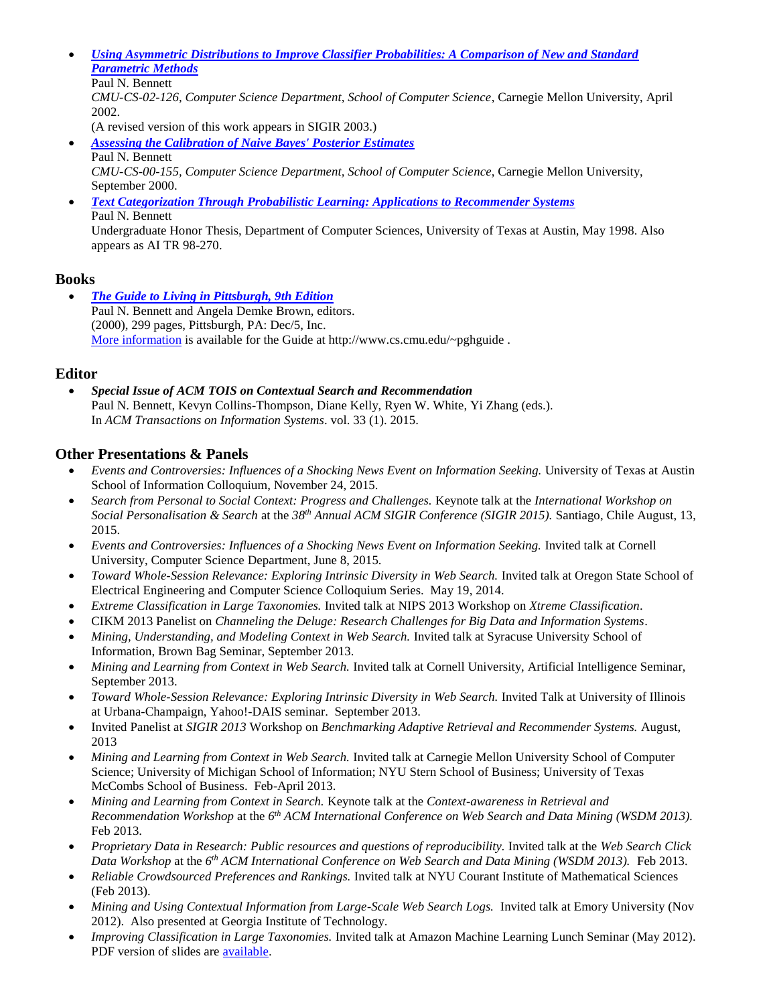*[Using Asymmetric Distributions to Improve Classifier Probabilities: A Comparison of New and Standard](http://reports-archive.adm.cs.cmu.edu/anon/2002/CMU-CS-02-126-c.ps)  [Parametric Methods](http://reports-archive.adm.cs.cmu.edu/anon/2002/CMU-CS-02-126-c.ps)*

```
Paul N. Bennett
```
*CMU-CS-02-126, Computer Science Department, School of Computer Science*, Carnegie Mellon University, April 2002.

(A revised version of this work appears in SIGIR 2003.) *[Assessing the Calibration of Naive Bayes' Posterior Estimates](http://reports-archive.adm.cs.cmu.edu/anon/2000/CMU-CS-00-155.ps)*  Paul N. Bennett

- *CMU-CS-00-155, Computer Science Department, School of Computer Science*, Carnegie Mellon University, September 2000.
- *[Text Categorization Through Probabilistic Learning: Applications to Recommender Systems](ftp://ftp.cs.utexas.edu/pub/mooney/papers/pbennett-ugthesis.ps.Z)*  Paul N. Bennett Undergraduate Honor Thesis, Department of Computer Sciences, University of Texas at Austin, May 1998. Also appears as AI TR 98-270.

# **Books**

 *[The Guide to Living in Pittsburgh, 9th Edition](http://www.cs.cmu.edu/~pghguide)* Paul N. Bennett and Angela Demke Brown, editors. (2000), 299 pages, Pittsburgh, PA: Dec/5, Inc. [More information](http://www.cs.cmu.edu/~pghguide) is available for the Guide at http://www.cs.cmu.edu/~pghguide.

# **Editor**

 *Special Issue of ACM TOIS on Contextual Search and Recommendation* Paul N. Bennett, Kevyn Collins-Thompson, Diane Kelly, Ryen W. White, Yi Zhang (eds.). In *ACM Transactions on Information Systems*. vol. 33 (1). 2015.

# **Other Presentations & Panels**

- *Events and Controversies: Influences of a Shocking News Event on Information Seeking.* University of Texas at Austin School of Information Colloquium, November 24, 2015.
- *Search from Personal to Social Context: Progress and Challenges.* Keynote talk at the *International Workshop on Social Personalisation & Search* at the *38th Annual ACM SIGIR Conference (SIGIR 2015).* Santiago, Chile August, 13, 2015.
- *Events and Controversies: Influences of a Shocking News Event on Information Seeking. Invited talk at Cornell* University, Computer Science Department, June 8, 2015.
- *Toward Whole-Session Relevance: Exploring Intrinsic Diversity in Web Search.* Invited talk at Oregon State School of Electrical Engineering and Computer Science Colloquium Series. May 19, 2014.
- *Extreme Classification in Large Taxonomies.* Invited talk at NIPS 2013 Workshop on *Xtreme Classification*.
- CIKM 2013 Panelist on *Channeling the Deluge: Research Challenges for Big Data and Information Systems*.
- *Mining, Understanding, and Modeling Context in Web Search.* Invited talk at Syracuse University School of Information, Brown Bag Seminar, September 2013.
- *Mining and Learning from Context in Web Search.* Invited talk at Cornell University, Artificial Intelligence Seminar, September 2013.
- *Toward Whole-Session Relevance: Exploring Intrinsic Diversity in Web Search.* Invited Talk at University of Illinois at Urbana-Champaign, Yahoo!-DAIS seminar. September 2013.
- Invited Panelist at *SIGIR 2013* Workshop on *Benchmarking Adaptive Retrieval and Recommender Systems.* August, 2013
- *Mining and Learning from Context in Web Search.* Invited talk at Carnegie Mellon University School of Computer Science; University of Michigan School of Information; NYU Stern School of Business; University of Texas McCombs School of Business. Feb-April 2013.
- *Mining and Learning from Context in Search.* Keynote talk at the *Context-awareness in Retrieval and Recommendation Workshop* at the *6 th ACM International Conference on Web Search and Data Mining (WSDM 2013).* Feb 2013.
- *Proprietary Data in Research: Public resources and questions of reproducibility.* Invited talk at the *Web Search Click Data Workshop* at the *6 th ACM International Conference on Web Search and Data Mining (WSDM 2013).* Feb 2013.
- *Reliable Crowdsourced Preferences and Rankings.* Invited talk at NYU Courant Institute of Mathematical Sciences (Feb 2013).
- *Mining and Using Contextual Information from Large-Scale Web Search Logs.* Invited talk at Emory University (Nov 2012). Also presented at Georgia Institute of Technology.
- *Improving Classification in Large Taxonomies.* Invited talk at Amazon Machine Learning Lunch Seminar (May 2012). PDF version of slides are [available.](http://www.cs.cmu.edu/~pbennett/papers/amazon-ml-lunch-talk.pdf)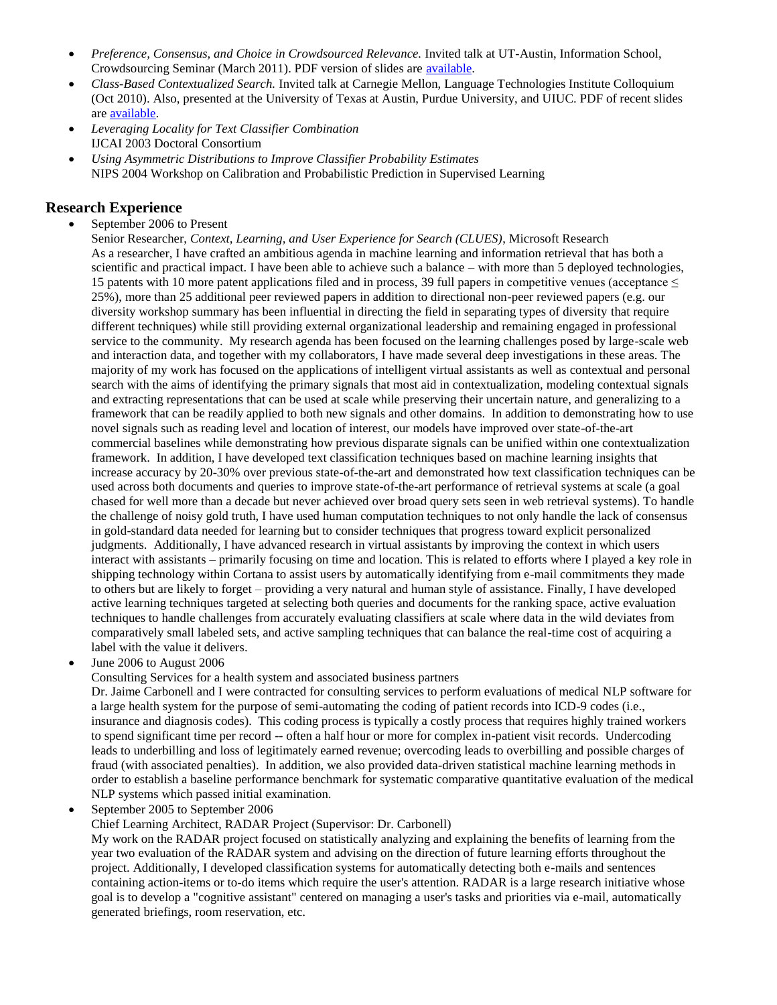- *Preference, Consensus, and Choice in Crowdsourced Relevance.* Invited talk at UT-Austin, Information School, Crowdsourcing Seminar (March 2011). PDF version of slides are [available.](http://www.cs.cmu.edu/~pbennett/papers/preference-consensus-choice-public.pdf)
- *Class-Based Contextualized Search.* Invited talk at Carnegie Mellon, Language Technologies Institute Colloquium (Oct 2010). Also, presented at the University of Texas at Austin, Purdue University, and UIUC. PDF of recent slides ar[e available.](http://www.cs.cmu.edu/~pbennett/papers/uiuc-contextual-search-public.pdf)
- *Leveraging Locality for Text Classifier Combination* IJCAI 2003 Doctoral Consortium
- *Using Asymmetric Distributions to Improve Classifier Probability Estimates* NIPS 2004 Workshop on Calibration and Probabilistic Prediction in Supervised Learning

### **Research Experience**

- September 2006 to Present
	- Senior Researcher, *Context, Learning, and User Experience for Search (CLUES)*, Microsoft Research As a researcher, I have crafted an ambitious agenda in machine learning and information retrieval that has both a scientific and practical impact. I have been able to achieve such a balance – with more than 5 deployed technologies, 15 patents with 10 more patent applications filed and in process, 39 full papers in competitive venues (acceptance  $\leq$ 25%), more than 25 additional peer reviewed papers in addition to directional non-peer reviewed papers (e.g. our diversity workshop summary has been influential in directing the field in separating types of diversity that require different techniques) while still providing external organizational leadership and remaining engaged in professional service to the community. My research agenda has been focused on the learning challenges posed by large-scale web and interaction data, and together with my collaborators, I have made several deep investigations in these areas. The majority of my work has focused on the applications of intelligent virtual assistants as well as contextual and personal search with the aims of identifying the primary signals that most aid in contextualization, modeling contextual signals and extracting representations that can be used at scale while preserving their uncertain nature, and generalizing to a framework that can be readily applied to both new signals and other domains. In addition to demonstrating how to use novel signals such as reading level and location of interest, our models have improved over state-of-the-art commercial baselines while demonstrating how previous disparate signals can be unified within one contextualization framework. In addition, I have developed text classification techniques based on machine learning insights that increase accuracy by 20-30% over previous state-of-the-art and demonstrated how text classification techniques can be used across both documents and queries to improve state-of-the-art performance of retrieval systems at scale (a goal chased for well more than a decade but never achieved over broad query sets seen in web retrieval systems). To handle the challenge of noisy gold truth, I have used human computation techniques to not only handle the lack of consensus in gold-standard data needed for learning but to consider techniques that progress toward explicit personalized judgments. Additionally, I have advanced research in virtual assistants by improving the context in which users interact with assistants – primarily focusing on time and location. This is related to efforts where I played a key role in shipping technology within Cortana to assist users by automatically identifying from e-mail commitments they made to others but are likely to forget – providing a very natural and human style of assistance. Finally, I have developed active learning techniques targeted at selecting both queries and documents for the ranking space, active evaluation techniques to handle challenges from accurately evaluating classifiers at scale where data in the wild deviates from comparatively small labeled sets, and active sampling techniques that can balance the real-time cost of acquiring a label with the value it delivers.
- June 2006 to August 2006
	- Consulting Services for a health system and associated business partners

Dr. Jaime Carbonell and I were contracted for consulting services to perform evaluations of medical NLP software for a large health system for the purpose of semi-automating the coding of patient records into ICD-9 codes (i.e., insurance and diagnosis codes). This coding process is typically a costly process that requires highly trained workers to spend significant time per record -- often a half hour or more for complex in-patient visit records. Undercoding leads to underbilling and loss of legitimately earned revenue; overcoding leads to overbilling and possible charges of fraud (with associated penalties). In addition, we also provided data-driven statistical machine learning methods in order to establish a baseline performance benchmark for systematic comparative quantitative evaluation of the medical NLP systems which passed initial examination.

September 2005 to September 2006

Chief Learning Architect, RADAR Project (Supervisor: Dr. Carbonell)

My work on the RADAR project focused on statistically analyzing and explaining the benefits of learning from the year two evaluation of the RADAR system and advising on the direction of future learning efforts throughout the project. Additionally, I developed classification systems for automatically detecting both e-mails and sentences containing action-items or to-do items which require the user's attention. RADAR is a large research initiative whose goal is to develop a "cognitive assistant" centered on managing a user's tasks and priorities via e-mail, automatically generated briefings, room reservation, etc.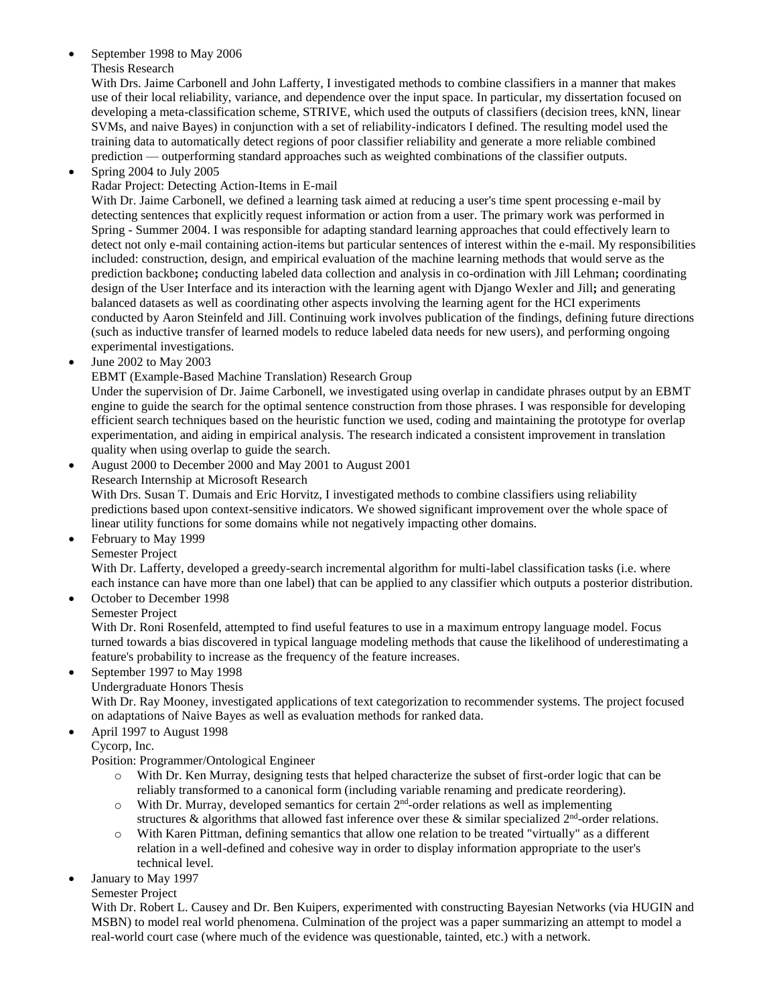### September 1998 to May 2006

#### Thesis Research

With Drs. Jaime Carbonell and John Lafferty, I investigated methods to combine classifiers in a manner that makes use of their local reliability, variance, and dependence over the input space. In particular, my dissertation focused on developing a meta-classification scheme, STRIVE, which used the outputs of classifiers (decision trees, kNN, linear SVMs, and naive Bayes) in conjunction with a set of reliability-indicators I defined. The resulting model used the training data to automatically detect regions of poor classifier reliability and generate a more reliable combined prediction — outperforming standard approaches such as weighted combinations of the classifier outputs.

### Spring 2004 to July 2005

### Radar Project: Detecting Action-Items in E-mail

With Dr. Jaime Carbonell, we defined a learning task aimed at reducing a user's time spent processing e-mail by detecting sentences that explicitly request information or action from a user. The primary work was performed in Spring - Summer 2004. I was responsible for adapting standard learning approaches that could effectively learn to detect not only e-mail containing action-items but particular sentences of interest within the e-mail. My responsibilities included: construction, design, and empirical evaluation of the machine learning methods that would serve as the prediction backbone**;** conducting labeled data collection and analysis in co-ordination with Jill Lehman**;** coordinating design of the User Interface and its interaction with the learning agent with Django Wexler and Jill**;** and generating balanced datasets as well as coordinating other aspects involving the learning agent for the HCI experiments conducted by Aaron Steinfeld and Jill. Continuing work involves publication of the findings, defining future directions (such as inductive transfer of learned models to reduce labeled data needs for new users), and performing ongoing experimental investigations.

## June 2002 to May 2003

### EBMT (Example-Based Machine Translation) Research Group

Under the supervision of Dr. Jaime Carbonell, we investigated using overlap in candidate phrases output by an EBMT engine to guide the search for the optimal sentence construction from those phrases. I was responsible for developing efficient search techniques based on the heuristic function we used, coding and maintaining the prototype for overlap experimentation, and aiding in empirical analysis. The research indicated a consistent improvement in translation quality when using overlap to guide the search.

August 2000 to December 2000 and May 2001 to August 2001

Research Internship at Microsoft Research

With Drs. Susan T. Dumais and Eric Horvitz, I investigated methods to combine classifiers using reliability predictions based upon context-sensitive indicators. We showed significant improvement over the whole space of linear utility functions for some domains while not negatively impacting other domains.

- February to May 1999
- Semester Project

With Dr. Lafferty, developed a greedy-search incremental algorithm for multi-label classification tasks (i.e. where each instance can have more than one label) that can be applied to any classifier which outputs a posterior distribution. • October to December 1998

Semester Project

With Dr. Roni Rosenfeld, attempted to find useful features to use in a maximum entropy language model. Focus turned towards a bias discovered in typical language modeling methods that cause the likelihood of underestimating a feature's probability to increase as the frequency of the feature increases.

- September 1997 to May 1998
	- Undergraduate Honors Thesis

With Dr. Ray Mooney, investigated applications of text categorization to recommender systems. The project focused on adaptations of Naive Bayes as well as evaluation methods for ranked data.

April 1997 to August 1998

Cycorp, Inc.

Position: Programmer/Ontological Engineer

- o With Dr. Ken Murray, designing tests that helped characterize the subset of first-order logic that can be reliably transformed to a canonical form (including variable renaming and predicate reordering).
- $\circ$  With Dr. Murray, developed semantics for certain 2<sup>nd</sup>-order relations as well as implementing structures & algorithms that allowed fast inference over these & similar specialized  $2<sup>nd</sup>$ -order relations.
- o With Karen Pittman, defining semantics that allow one relation to be treated "virtually" as a different relation in a well-defined and cohesive way in order to display information appropriate to the user's technical level.
- January to May 1997

Semester Project

With Dr. Robert L. Causey and Dr. Ben Kuipers, experimented with constructing Bayesian Networks (via HUGIN and MSBN) to model real world phenomena. Culmination of the project was a paper summarizing an attempt to model a real-world court case (where much of the evidence was questionable, tainted, etc.) with a network.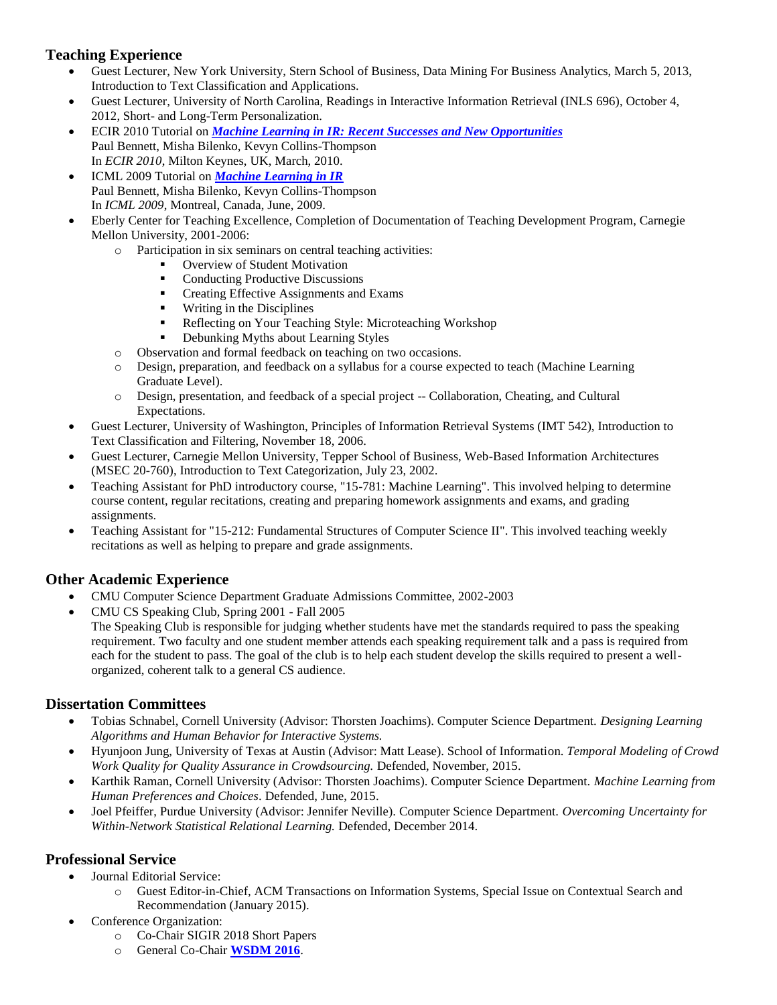## **Teaching Experience**

- Guest Lecturer, New York University, Stern School of Business, Data Mining For Business Analytics, March 5, 2013, Introduction to Text Classification and Applications.
- Guest Lecturer, University of North Carolina, Readings in Interactive Information Retrieval (INLS 696), October 4, 2012, Short- and Long-Term Personalization.
- ECIR 2010 Tutorial on *[Machine Learning in IR: Recent Successes and New Opportunities](http://www.cs.cmu.edu/~pbennett/papers/ECIR-2010-ML-Tutorial-FinalToPrint.pdf)* Paul Bennett, Misha Bilenko, Kevyn Collins-Thompson In *ECIR 2010*, Milton Keynes, UK, March, 2010.
- ICML 2009 Tutorial on *[Machine Learning in IR](http://www.cs.cmu.edu/~pbennett/papers/ICML-MLIR-Tutorial.pdf)* Paul Bennett, Misha Bilenko, Kevyn Collins-Thompson In *ICML 2009*, Montreal, Canada, June, 2009.
- Eberly Center for Teaching Excellence, Completion of Documentation of Teaching Development Program, Carnegie Mellon University, 2001-2006:
	- o Participation in six seminars on central teaching activities:
		- **Overview of Student Motivation**
		- Conducting Productive Discussions
		- **•** Creating Effective Assignments and Exams
		- **Writing in the Disciplines**
		- Reflecting on Your Teaching Style: Microteaching Workshop
		- Debunking Myths about Learning Styles
	- o Observation and formal feedback on teaching on two occasions.
	- o Design, preparation, and feedback on a syllabus for a course expected to teach (Machine Learning Graduate Level).
	- o Design, presentation, and feedback of a special project -- Collaboration, Cheating, and Cultural Expectations.
- Guest Lecturer, University of Washington, Principles of Information Retrieval Systems (IMT 542), Introduction to Text Classification and Filtering, November 18, 2006.
- Guest Lecturer, Carnegie Mellon University, Tepper School of Business, Web-Based Information Architectures (MSEC 20-760), Introduction to Text Categorization, July 23, 2002.
- Teaching Assistant for PhD introductory course, "15-781: Machine Learning". This involved helping to determine course content, regular recitations, creating and preparing homework assignments and exams, and grading assignments.
- Teaching Assistant for "15-212: Fundamental Structures of Computer Science II". This involved teaching weekly recitations as well as helping to prepare and grade assignments.

# **Other Academic Experience**

- CMU Computer Science Department Graduate Admissions Committee, 2002-2003
- CMU CS Speaking Club, Spring 2001 Fall 2005
	- The Speaking Club is responsible for judging whether students have met the standards required to pass the speaking requirement. Two faculty and one student member attends each speaking requirement talk and a pass is required from each for the student to pass. The goal of the club is to help each student develop the skills required to present a wellorganized, coherent talk to a general CS audience.

## **Dissertation Committees**

- Tobias Schnabel, Cornell University (Advisor: Thorsten Joachims). Computer Science Department. *Designing Learning Algorithms and Human Behavior for Interactive Systems.*
- Hyunjoon Jung, University of Texas at Austin (Advisor: Matt Lease). School of Information. *Temporal Modeling of Crowd Work Quality for Quality Assurance in Crowdsourcing.* Defended, November, 2015.
- Karthik Raman, Cornell University (Advisor: Thorsten Joachims). Computer Science Department. *Machine Learning from Human Preferences and Choices*. Defended, June, 2015.
- Joel Pfeiffer, Purdue University (Advisor: Jennifer Neville). Computer Science Department. *Overcoming Uncertainty for Within-Network Statistical Relational Learning.* Defended, December 2014.

### **Professional Service**

- Journal Editorial Service:
	- o Guest Editor-in-Chief, ACM Transactions on Information Systems, Special Issue on Contextual Search and Recommendation (January 2015).
- Conference Organization:
	- o Co-Chair SIGIR 2018 Short Papers
	- o General Co-Chair **[WSDM 2016](http://www.wsdm-conference.org/2016/)**.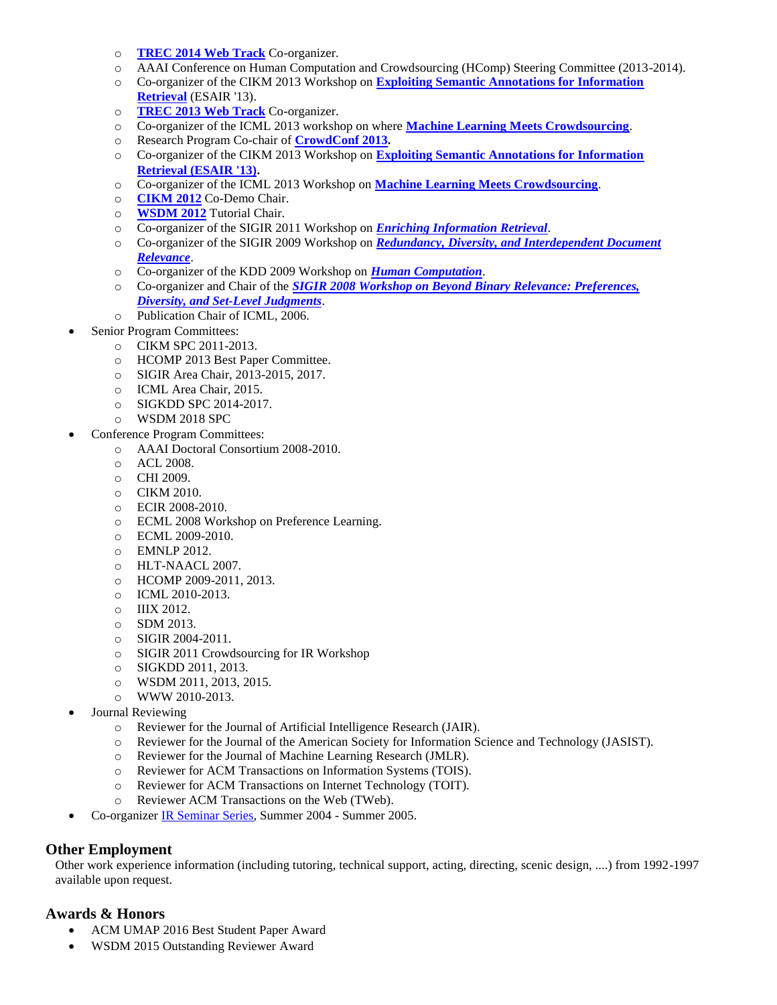- o **[TREC 2014 Web Track](http://trec.nist.gov/pubs/call2014.html)** Co-organizer.
- o AAAI Conference on Human Computation and Crowdsourcing (HComp) Steering Committee (2013-2014).
- o Co-organizer of the CIKM 2013 Workshop on **[Exploiting Semantic Annotations for Information](http://staff.science.uva.nl/~kamps/esair13)  [Retrieval](http://staff.science.uva.nl/~kamps/esair13)** (ESAIR '13).
- o **[TREC 2013 Web Track](http://research.microsoft.com/en-us/projects/trec-web-2013/default.aspx)** Co-organizer.
- o Co-organizer of the ICML 2013 workshop on where **[Machine Learning Meets Crowdsourcing](http://www.ics.uci.edu/~qliu1/MLcrowd_ICML_workshop/)**.
- o Research Program Co-chair of **[CrowdConf 2013.](http://www.crowdconf.com/)**
- o Co-organizer of the CIKM 2013 Workshop on **[Exploiting Semantic Annotations for Information](http://staff.science.uva.nl/~kamps/esair13/)  [Retrieval \(ESAIR '13\).](http://staff.science.uva.nl/~kamps/esair13/)**
- o Co-organizer of the ICML 2013 Workshop on **[Machine Learning Meets Crowdsourcing](http://www.ics.uci.edu/~qliu1/MLcrowd_ICML_workshop/)**.
- o **[CIKM 2012](http://www.cikm2012.org/)** Co-Demo Chair.
- o **[WSDM 2012](http://wsdm2012.org/)** Tutorial Chair.
- o Co-organizer of the SIGIR 2011 Workshop on *[Enriching Information Retrieval](http://www.select.cs.cmu.edu/meetings/enir2011/)*.
- o Co-organizer of the SIGIR 2009 Workshop on *[Redundancy, Diversity, and Interdependent Document](http://ir.cis.udel.edu/IDR-workshop)  [Relevance](http://ir.cis.udel.edu/IDR-workshop)*.
- o Co-organizer of the KDD 2009 Workshop on *[Human Computation](http://www.hcomp2009.org/)*.
- o Co-organizer and Chair of the *[SIGIR 2008 Workshop on Beyond Binary Relevance: Preferences,](http://research.microsoft.com/en-us/um/people/pauben/bbr-workshop/index_files/program.htm)  [Diversity, and Set-Level Judgments](http://research.microsoft.com/en-us/um/people/pauben/bbr-workshop/index_files/program.htm)*.
- o Publication Chair of ICML, 2006.
- Senior Program Committees:
	- o CIKM SPC 2011-2013.
	- o HCOMP 2013 Best Paper Committee.
	- o SIGIR Area Chair, 2013-2015, 2017.
	- o ICML Area Chair, 2015.
	- o SIGKDD SPC 2014-2017.
	- o WSDM 2018 SPC
- Conference Program Committees:
	- o AAAI Doctoral Consortium 2008-2010.
	- o ACL 2008.
	- o CHI 2009.
	- o CIKM 2010.
	- o ECIR 2008-2010.
	- o ECML 2008 Workshop on Preference Learning.
	- o ECML 2009-2010.
	- o EMNLP 2012.
	- o HLT-NAACL 2007.
	- o HCOMP 2009-2011, 2013.
	- o ICML 2010-2013.
	- o IIIX 2012.
	- o SDM 2013.
	- o SIGIR 2004-2011.
	- o SIGIR 2011 Crowdsourcing for IR Workshop
	- o SIGKDD 2011, 2013.
	- o WSDM 2011, 2013, 2015.
	- o WWW 2010-2013.
- Journal Reviewing
	- o Reviewer for the Journal of Artificial Intelligence Research (JAIR).
	- o Reviewer for the Journal of the American Society for Information Science and Technology (JASIST).
	- o Reviewer for the Journal of Machine Learning Research (JMLR).
	- o Reviewer for ACM Transactions on Information Systems (TOIS).
	- o Reviewer for ACM Transactions on Internet Technology (TOIT).
	- o Reviewer ACM Transactions on the Web (TWeb).
- Co-organizer [IR Seminar Series,](http://cmu-ir.blogspot.com/) Summer 2004 Summer 2005.

## **Other Employment**

Other work experience information (including tutoring, technical support, acting, directing, scenic design, ....) from 1992-1997 available upon request.

## **Awards & Honors**

- ACM UMAP 2016 Best Student Paper Award
- WSDM 2015 Outstanding Reviewer Award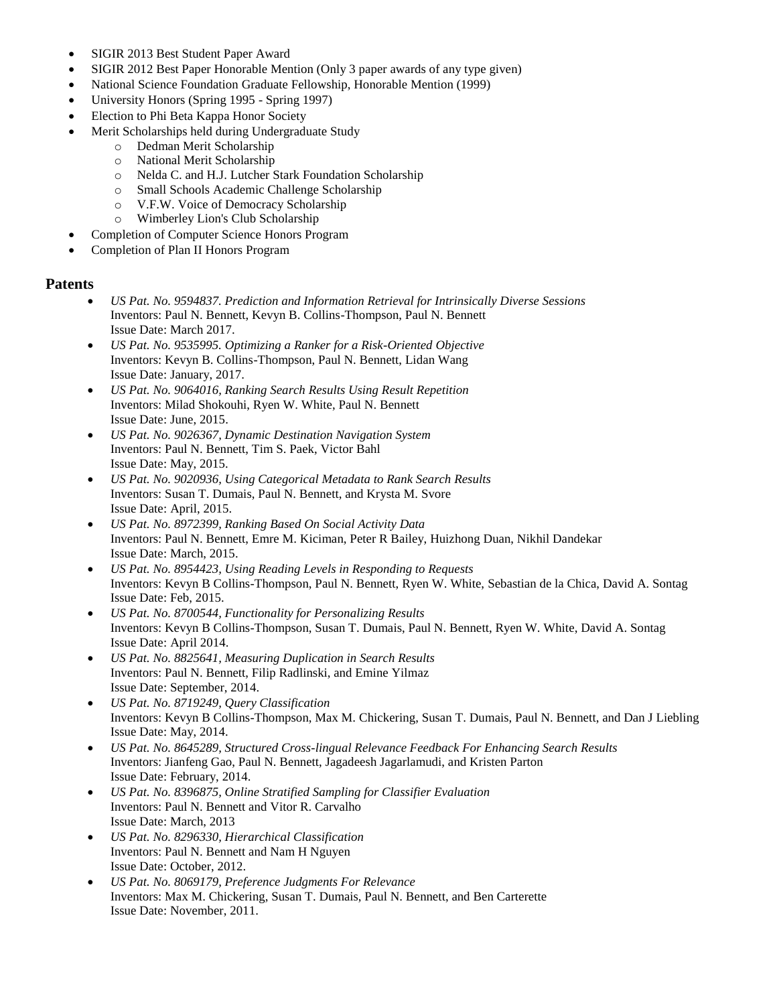- SIGIR 2013 Best Student Paper Award
- SIGIR 2012 Best Paper Honorable Mention (Only 3 paper awards of any type given)
- National Science Foundation Graduate Fellowship, Honorable Mention (1999)
- University Honors (Spring 1995 Spring 1997)
- Election to Phi Beta Kappa Honor Society
- Merit Scholarships held during Undergraduate Study
	- o Dedman Merit Scholarship
	- o National Merit Scholarship
	- o Nelda C. and H.J. Lutcher Stark Foundation Scholarship
	- o Small Schools Academic Challenge Scholarship
	- o V.F.W. Voice of Democracy Scholarship
	- o Wimberley Lion's Club Scholarship
- Completion of Computer Science Honors Program
- Completion of Plan II Honors Program

### **Patents**

- *US Pat. No. 9594837. Prediction and Information Retrieval for Intrinsically Diverse Sessions* Inventors: Paul N. Bennett, Kevyn B. Collins-Thompson, Paul N. Bennett Issue Date: March 2017.
- *US Pat. No. 9535995. Optimizing a Ranker for a Risk-Oriented Objective* Inventors: Kevyn B. Collins-Thompson, Paul N. Bennett, Lidan Wang Issue Date: January, 2017.
- *US Pat. No. 9064016, Ranking Search Results Using Result Repetition*  Inventors: Milad Shokouhi, Ryen W. White, Paul N. Bennett Issue Date: June, 2015.
- *US Pat. No. 9026367, Dynamic Destination Navigation System* Inventors: Paul N. Bennett, Tim S. Paek, Victor Bahl Issue Date: May, 2015.
- *US Pat. No. 9020936, Using Categorical Metadata to Rank Search Results* Inventors: Susan T. Dumais, Paul N. Bennett, and Krysta M. Svore Issue Date: April, 2015.
- *US Pat. No. 8972399, Ranking Based On Social Activity Data* Inventors: Paul N. Bennett, Emre M. Kiciman, Peter R Bailey, Huizhong Duan, Nikhil Dandekar Issue Date: March, 2015.
- *US Pat. No. 8954423, Using Reading Levels in Responding to Requests* Inventors: Kevyn B Collins-Thompson, Paul N. Bennett, Ryen W. White, Sebastian de la Chica, David A. Sontag Issue Date: Feb, 2015.
- *US Pat. No. 8700544, Functionality for Personalizing Results* Inventors: Kevyn B Collins-Thompson, Susan T. Dumais, Paul N. Bennett, Ryen W. White, David A. Sontag Issue Date: April 2014.
- *US Pat. No. 8825641, Measuring Duplication in Search Results* Inventors: Paul N. Bennett, Filip Radlinski, and Emine Yilmaz Issue Date: September, 2014.
- *US Pat. No. 8719249, Query Classification* Inventors: Kevyn B Collins-Thompson, Max M. Chickering, Susan T. Dumais, Paul N. Bennett, and Dan J Liebling Issue Date: May, 2014.
- *US Pat. No. 8645289, Structured Cross-lingual Relevance Feedback For Enhancing Search Results* Inventors: Jianfeng Gao, Paul N. Bennett, Jagadeesh Jagarlamudi, and Kristen Parton Issue Date: February, 2014.
- *US Pat. No. 8396875, Online Stratified Sampling for Classifier Evaluation* Inventors: Paul N. Bennett and Vitor R. Carvalho Issue Date: March, 2013
- *US Pat. No. 8296330, Hierarchical Classification* Inventors: Paul N. Bennett and Nam H Nguyen Issue Date: October, 2012.
- *US Pat. No. 8069179, Preference Judgments For Relevance* Inventors: Max M. Chickering, Susan T. Dumais, Paul N. Bennett, and Ben Carterette Issue Date: November, 2011.